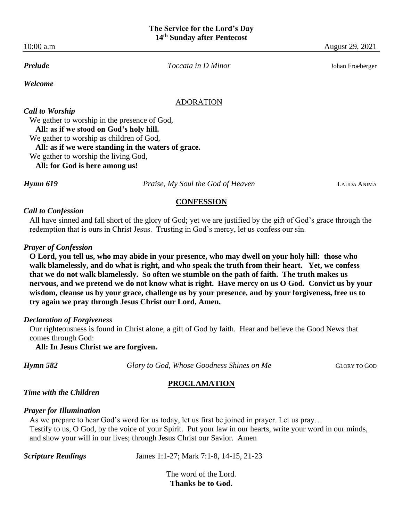10:00 a.m August 29, 2021

*Welcome*

*Prelude Toccata in D Minor* Johan Froeberger

#### ADORATION

*Call to Worship* We gather to worship in the presence of God,  **All: as if we stood on God's holy hill.** We gather to worship as children of God,  **All: as if we were standing in the waters of grace.** We gather to worship the living God,  **All: for God is here among us!**

*Hymn 619 Praise, My Soul the God of Heaven* LAUDA ANIMA

#### **CONFESSION**

#### *Call to Confession*

All have sinned and fall short of the glory of God; yet we are justified by the gift of God's grace through the redemption that is ours in Christ Jesus. Trusting in God's mercy, let us confess our sin.

### *Prayer of Confession*

**O Lord, you tell us, who may abide in your presence, who may dwell on your holy hill: those who walk blamelessly, and do what is right, and who speak the truth from their heart. Yet, we confess that we do not walk blamelessly. So often we stumble on the path of faith. The truth makes us nervous, and we pretend we do not know what is right. Have mercy on us O God. Convict us by your wisdom, cleanse us by your grace, challenge us by your presence, and by your forgiveness, free us to try again we pray through Jesus Christ our Lord, Amen.**

#### *Declaration of Forgiveness*

Our righteousness is found in Christ alone, a gift of God by faith. Hear and believe the Good News that comes through God:

 **All: In Jesus Christ we are forgiven.**

*Hymn* **582 Glory to God, Whose Goodness Shines on Me GLORY TO GOD** 

### **PROCLAMATION**

# *Time with the Children*

### *Prayer for Illumination*

As we prepare to hear God's word for us today, let us first be joined in prayer. Let us pray… Testify to us, O God, by the voice of your Spirit. Put your law in our hearts, write your word in our minds, and show your will in our lives; through Jesus Christ our Savior. Amen

*Scripture Readings* James 1:1-27; Mark 7:1-8, 14-15, 21-23

The word of the Lord. **Thanks be to God.**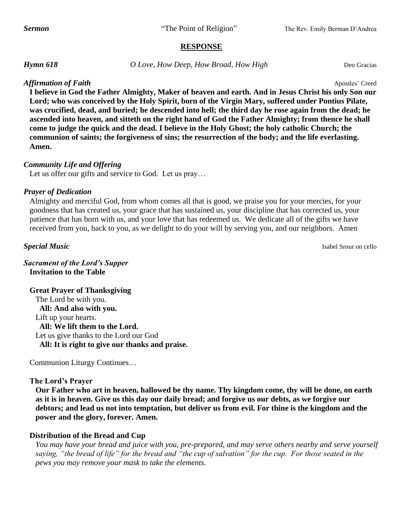### **RESPONSE**

*Hymn 618 O Love, How Deep, How Broad, How High* Deo Gracias

# *Affirmation of Faith* Apostles' Creed

**I believe in God the Father Almighty, Maker of heaven and earth. And in Jesus Christ his only Son our Lord; who was conceived by the Holy Spirit, born of the Virgin Mary, suffered under Pontius Pilate, was crucified, dead, and buried; he descended into hell; the third day he rose again from the dead; he ascended into heaven, and sitteth on the right hand of God the Father Almighty; from thence he shall come to judge the quick and the dead. I believe in the Holy Ghost; the holy catholic Church; the communion of saints; the forgiveness of sins; the resurrection of the body; and the life everlasting. Amen.**

# *Community Life and Offering*

Let us offer our gifts and service to God. Let us pray...

# *Prayer of Dedication*

Almighty and merciful God, from whom comes all that is good, we praise you for your mercies, for your goodness that has created us, your grace that has sustained us, your discipline that has corrected us, your patience that has born with us, and your love that has redeemed us. We dedicate all of the gifts we have received from you, back to you, as we delight to do your will by serving you, and our neighbors. Amen

**Special Music** Isabel Srour on cello

*Sacrament of the Lord's Supper* **Invitation to the Table**

**Great Prayer of Thanksgiving**  The Lord be with you.  **All: And also with you.** Lift up your hearts.  **All: We lift them to the Lord.** Let us give thanks to the Lord our God  **All: It is right to give our thanks and praise.**

Communion Liturgy Continues…

### **The Lord's Prayer**

**Our Father who art in heaven, hallowed be thy name. Thy kingdom come, thy will be done, on earth as it is in heaven. Give us this day our daily bread; and forgive us our debts, as we forgive our debtors; and lead us not into temptation, but deliver us from evil. For thine is the kingdom and the power and the glory, forever. Amen.**

# **Distribution of the Bread and Cup**

*You may have your bread and juice with you, pre-prepared, and may serve others nearby and serve yourself saying, "the bread of life" for the bread and "the cup of salvation" for the cup. For those seated in the pews you may remove your mask to take the elements.*